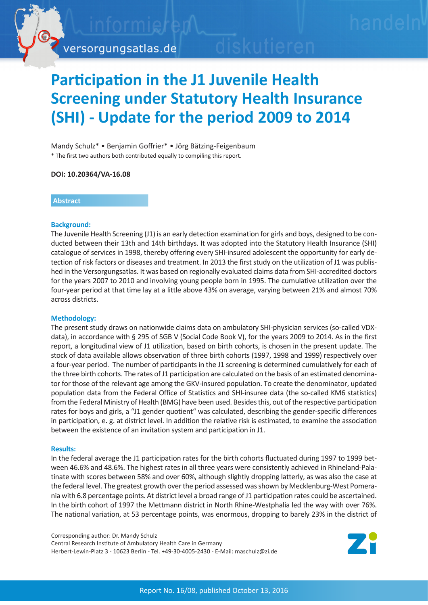

versorgungsatlas.de

# **Participation in the J1 Juvenile Health Screening under Statutory Health Insurance (SHI) - Update for the period 2009 to 2014**

#### Mandy Schulz\* • Benjamin Goffrier\* • Jörg Bätzing-Feigenbaum \* The first two authors both contributed equally to compiling this report.

#### **DOI: 10.20364/VA-16.08**

## **Abstract**

## **Background:**

The Juvenile Health Screening (J1) is an early detection examination for girls and boys, designed to be conducted between their 13th and 14th birthdays. It was adopted into the Statutory Health Insurance (SHI) catalogue of services in 1998, thereby offering every SHI-insured adolescent the opportunity for early detection of risk factors or diseases and treatment. In 2013 the first study on the utilization of J1 was published in the Versorgungsatlas. It was based on regionally evaluated claims data from SHI-accredited doctors for the years 2007 to 2010 and involving young people born in 1995. The cumulative utilization over the four-year period at that time lay at a little above 43% on average, varying between 21% and almost 70% across districts.

## **Methodology:**

The present study draws on nationwide claims data on ambulatory SHI-physician services (so-called VDXdata), in accordance with § 295 of SGB V (Social Code Book V), for the years 2009 to 2014. As in the first report, a longitudinal view of J1 utilization, based on birth cohorts, is chosen in the present update. The stock of data available allows observation of three birth cohorts (1997, 1998 and 1999) respectively over a four-year period. The number of participants in the J1 screening is determined cumulatively for each of the three birth cohorts. The rates of J1 participation are calculated on the basis of an estimated denominator for those of the relevant age among the GKV-insured population. To create the denominator, updated population data from the Federal Office of Statistics and SHI-insuree data (the so-called KM6 statistics) from the Federal Ministry of Health (BMG) have been used. Besides this, out of the respective participation rates for boys and girls, a "J1 gender quotient" was calculated, describing the gender-specific differences in participation, e. g. at district level. In addition the relative risk is estimated, to examine the association between the existence of an invitation system and participation in J1.

#### **Results:**

In the federal average the J1 participation rates for the birth cohorts fluctuated during 1997 to 1999 between 46.6% and 48.6%. The highest rates in all three years were consistently achieved in Rhineland-Palatinate with scores between 58% and over 60%, although slightly dropping latterly, as was also the case at the federal level. The greatest growth over the period assessed was shown by Mecklenburg-West Pomerania with 6.8 percentage points. At district level a broad range of J1 participation rates could be ascertained. In the birth cohort of 1997 the Mettmann district in North Rhine-Westphalia led the way with over 76%. The national variation, at 53 percentage points, was enormous, dropping to barely 23% in the district of

Corresponding author: Dr. Mandy Schulz Central Research Institute of Ambulatory Health Care in Germany Herbert-Lewin-Platz 3 - 10623 Berlin - Tel. +49-30-4005-2430 - E-Mail: maschulz@zi.de